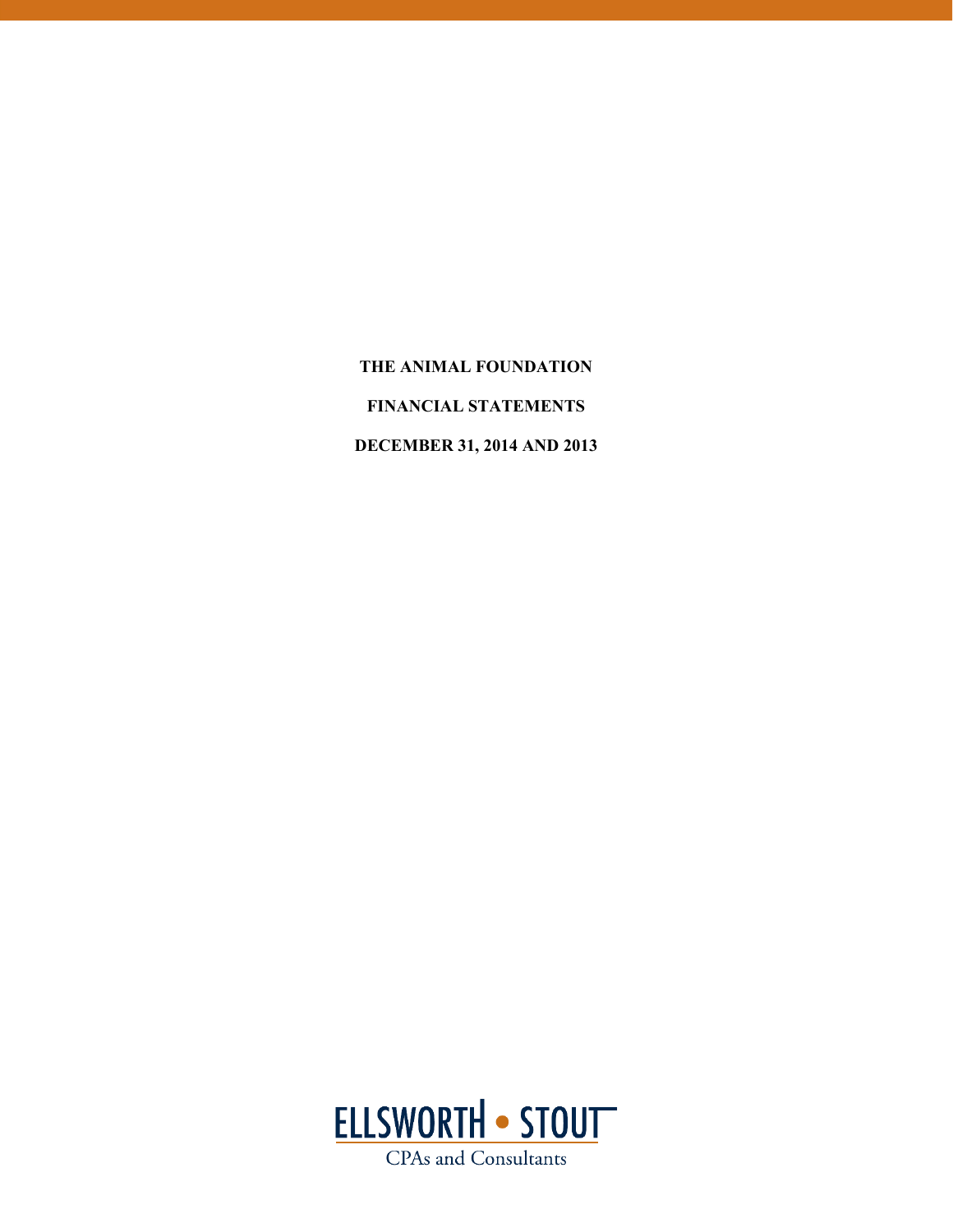**THE ANIMAL FOUNDATION FINANCIAL STATEMENTS DECEMBER 31, 2014 AND 2013** 

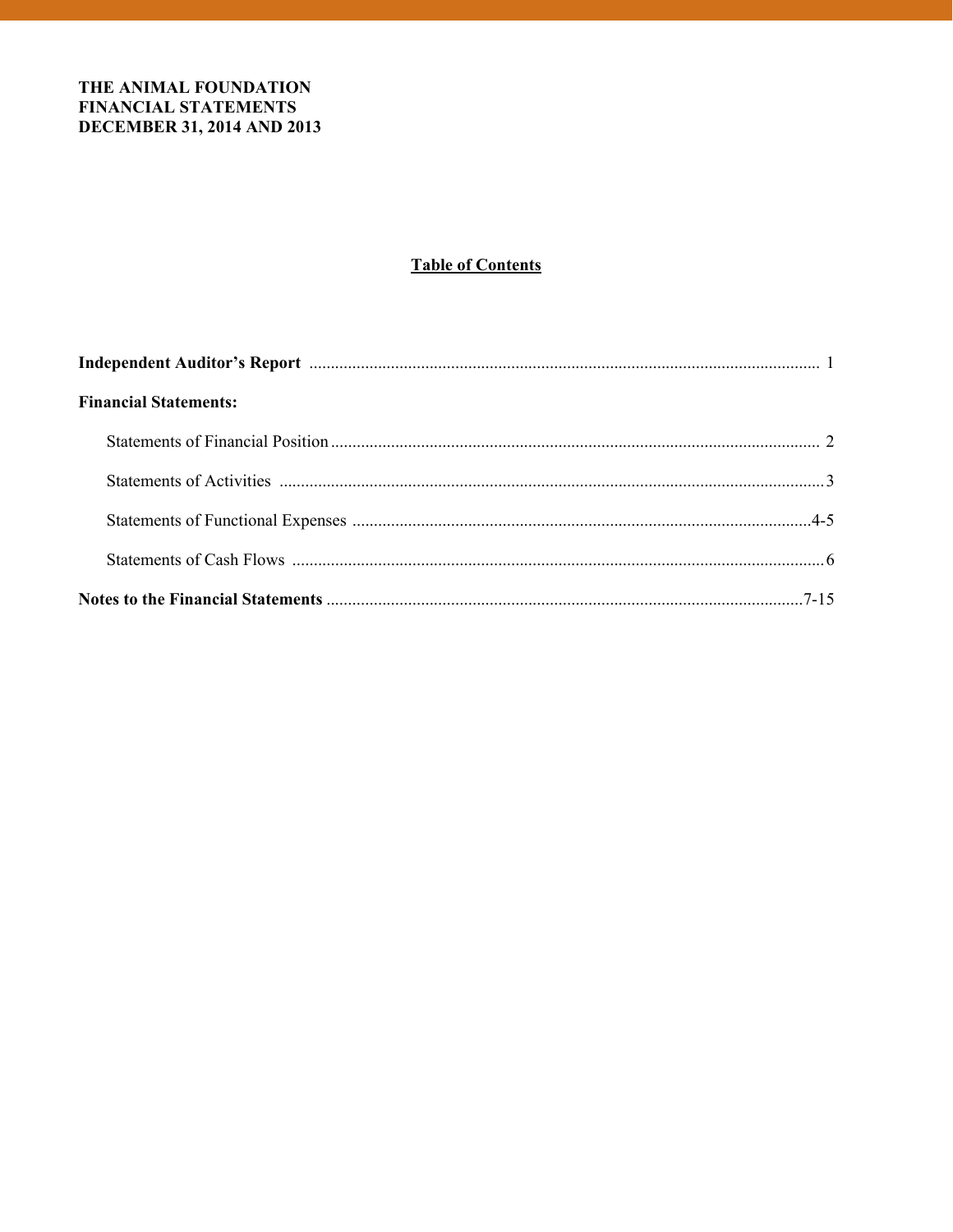# THE ANIMAL FOUNDATION FINANCIAL STATEMENTS **DECEMBER 31, 2014 AND 2013**

# **Table of Contents**

| <b>Financial Statements:</b> |  |
|------------------------------|--|
|                              |  |
|                              |  |
|                              |  |
|                              |  |
|                              |  |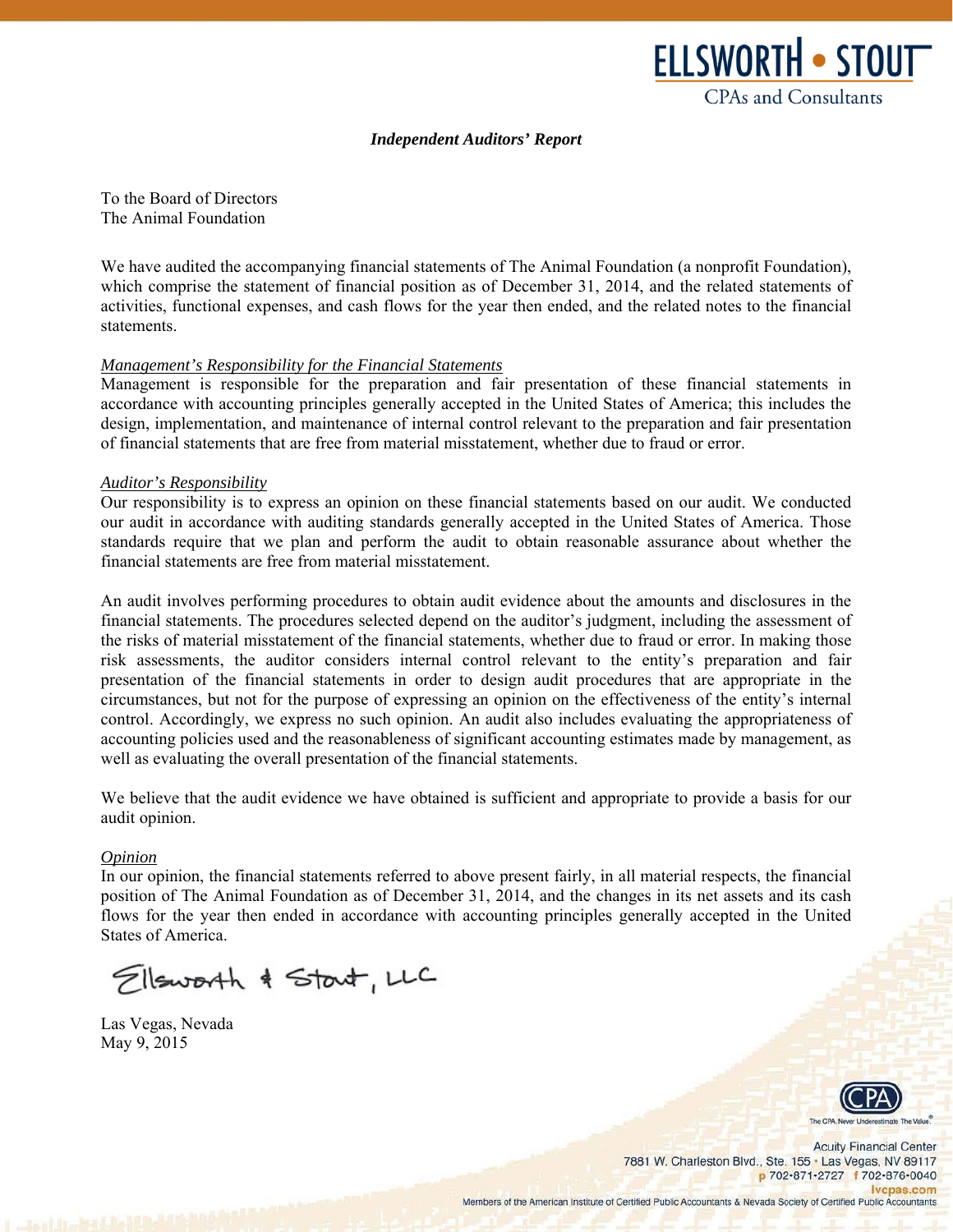

#### *Independent Auditors' Report*

To the Board of Directors The Animal Foundation

We have audited the accompanying financial statements of The Animal Foundation (a nonprofit Foundation), which comprise the statement of financial position as of December 31, 2014, and the related statements of activities, functional expenses, and cash flows for the year then ended, and the related notes to the financial statements.

#### *Management's Responsibility for the Financial Statements*

Management is responsible for the preparation and fair presentation of these financial statements in accordance with accounting principles generally accepted in the United States of America; this includes the design, implementation, and maintenance of internal control relevant to the preparation and fair presentation of financial statements that are free from material misstatement, whether due to fraud or error.

#### *Auditor's Responsibility*

Our responsibility is to express an opinion on these financial statements based on our audit. We conducted our audit in accordance with auditing standards generally accepted in the United States of America. Those standards require that we plan and perform the audit to obtain reasonable assurance about whether the financial statements are free from material misstatement.

An audit involves performing procedures to obtain audit evidence about the amounts and disclosures in the financial statements. The procedures selected depend on the auditor's judgment, including the assessment of the risks of material misstatement of the financial statements, whether due to fraud or error. In making those risk assessments, the auditor considers internal control relevant to the entity's preparation and fair presentation of the financial statements in order to design audit procedures that are appropriate in the circumstances, but not for the purpose of expressing an opinion on the effectiveness of the entity's internal control. Accordingly, we express no such opinion. An audit also includes evaluating the appropriateness of accounting policies used and the reasonableness of significant accounting estimates made by management, as well as evaluating the overall presentation of the financial statements.

We believe that the audit evidence we have obtained is sufficient and appropriate to provide a basis for our audit opinion.

#### *Opinion*

In our opinion, the financial statements referred to above present fairly, in all material respects, the financial position of The Animal Foundation as of December 31, 2014, and the changes in its net assets and its cash flows for the year then ended in accordance with accounting principles generally accepted in the United States of America.

Ellsworth & Start, LLC

Las Vegas, Nevada May 9, 2015

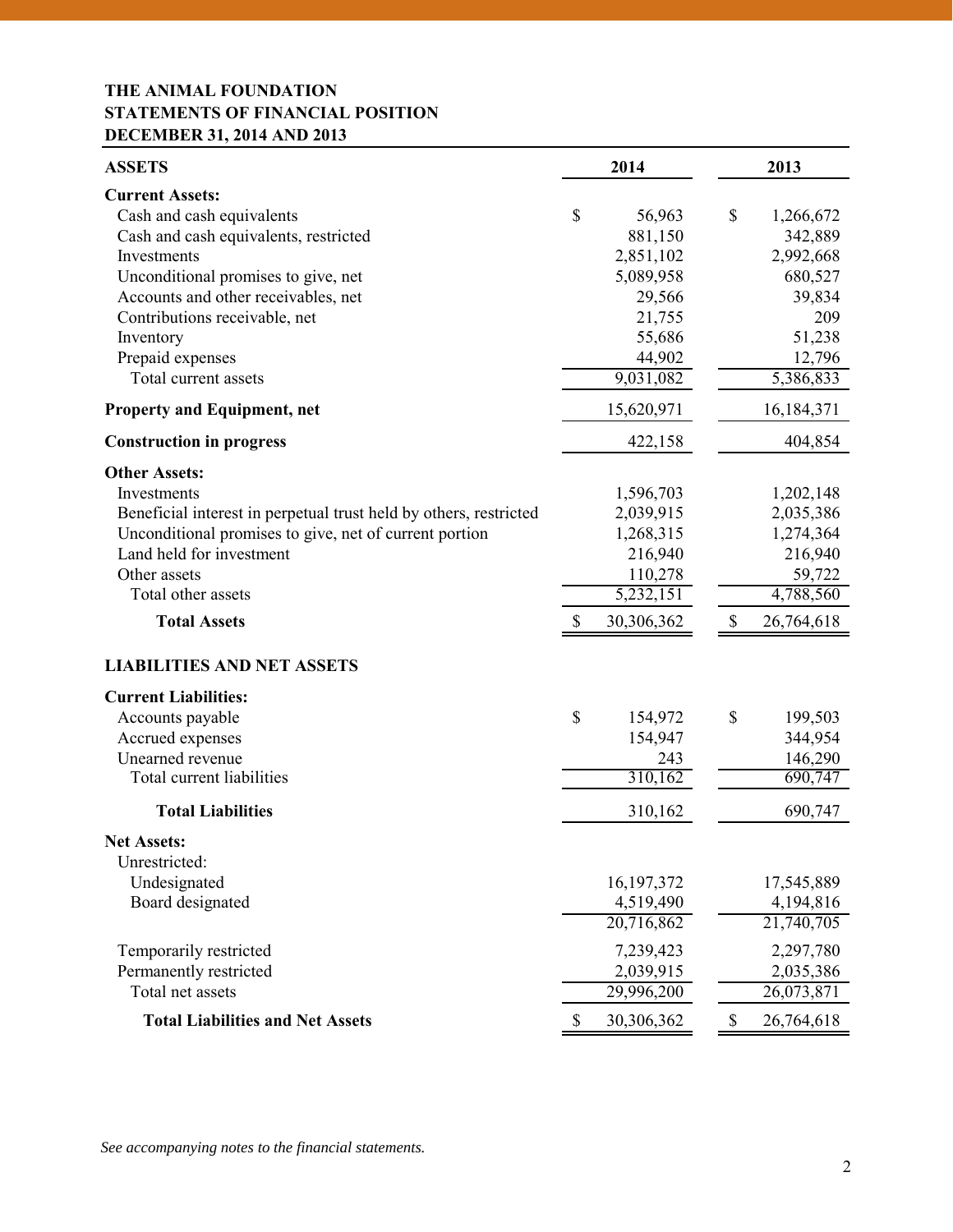# **THE ANIMAL FOUNDATION STATEMENTS OF FINANCIAL POSITION DECEMBER 31, 2014 AND 2013**

| <b>ASSETS</b>                                                                                                                                                                                                                                                                       |                           | 2014                                                                                             |               | 2013                                                                                           |  |  |
|-------------------------------------------------------------------------------------------------------------------------------------------------------------------------------------------------------------------------------------------------------------------------------------|---------------------------|--------------------------------------------------------------------------------------------------|---------------|------------------------------------------------------------------------------------------------|--|--|
| <b>Current Assets:</b><br>Cash and cash equivalents<br>Cash and cash equivalents, restricted<br>Investments<br>Unconditional promises to give, net<br>Accounts and other receivables, net<br>Contributions receivable, net<br>Inventory<br>Prepaid expenses<br>Total current assets | \$                        | 56,963<br>881,150<br>2,851,102<br>5,089,958<br>29,566<br>21,755<br>55,686<br>44,902<br>9,031,082 | \$            | 1,266,672<br>342,889<br>2,992,668<br>680,527<br>39,834<br>209<br>51,238<br>12,796<br>5,386,833 |  |  |
| <b>Property and Equipment, net</b>                                                                                                                                                                                                                                                  |                           | 15,620,971                                                                                       |               | 16,184,371                                                                                     |  |  |
| <b>Construction in progress</b>                                                                                                                                                                                                                                                     |                           | 422,158                                                                                          |               | 404,854                                                                                        |  |  |
| <b>Other Assets:</b><br>Investments<br>Beneficial interest in perpetual trust held by others, restricted<br>Unconditional promises to give, net of current portion<br>Land held for investment<br>Other assets<br>Total other assets<br><b>Total Assets</b>                         | S                         | 1,596,703<br>2,039,915<br>1,268,315<br>216,940<br>110,278<br>5,232,151<br>30,306,362             | <sup>\$</sup> | 1,202,148<br>2,035,386<br>1,274,364<br>216,940<br>59,722<br>4,788,560<br>26,764,618            |  |  |
| <b>LIABILITIES AND NET ASSETS</b>                                                                                                                                                                                                                                                   |                           |                                                                                                  |               |                                                                                                |  |  |
| <b>Current Liabilities:</b><br>Accounts payable<br>Accrued expenses<br>Unearned revenue<br>Total current liabilities                                                                                                                                                                | $\boldsymbol{\mathsf{S}}$ | 154,972<br>154,947<br>243<br>310,162                                                             | \$            | 199,503<br>344,954<br>146,290<br>690,747                                                       |  |  |
| <b>Total Liabilities</b>                                                                                                                                                                                                                                                            |                           | 310,162                                                                                          |               | 690,747                                                                                        |  |  |
| <b>Net Assets:</b><br>Unrestricted:<br>Undesignated<br>Board designated                                                                                                                                                                                                             |                           | 16, 197, 372<br>4,519,490<br>20,716,862                                                          |               | 17,545,889<br>4,194,816<br>21,740,705                                                          |  |  |
| Temporarily restricted<br>Permanently restricted<br>Total net assets<br><b>Total Liabilities and Net Assets</b>                                                                                                                                                                     | \$                        | 7,239,423<br>2,039,915<br>29,996,200<br>30,306,362                                               | $\mathbb{S}$  | 2,297,780<br>2,035,386<br>26,073,871<br>26,764,618                                             |  |  |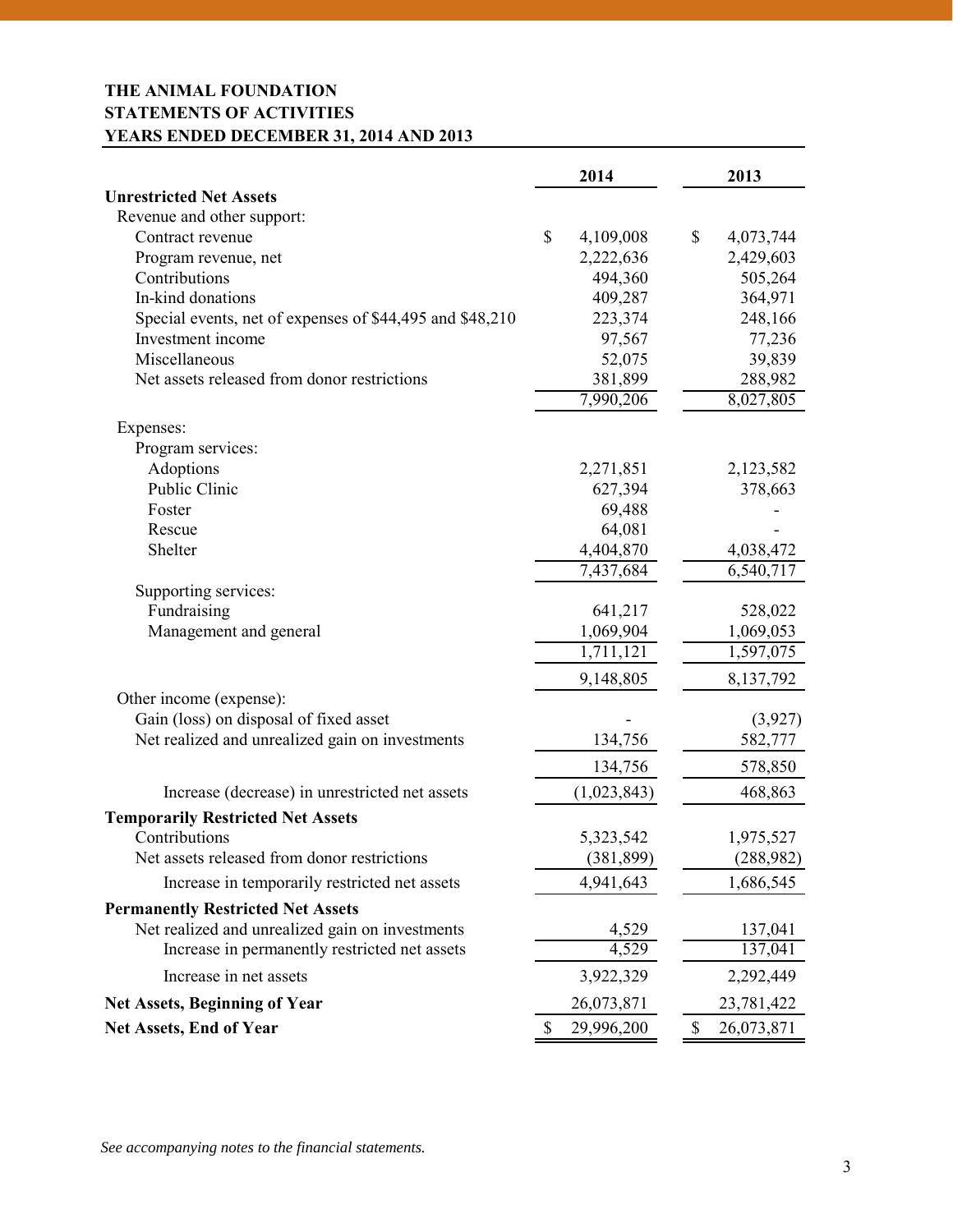# **THE ANIMAL FOUNDATION STATEMENTS OF ACTIVITIES YEARS ENDED DECEMBER 31, 2014 AND 2013**

|                                                          |    | 2014              | 2013              |  |  |
|----------------------------------------------------------|----|-------------------|-------------------|--|--|
| <b>Unrestricted Net Assets</b>                           |    |                   |                   |  |  |
| Revenue and other support:                               |    |                   |                   |  |  |
| Contract revenue                                         | \$ | 4,109,008         | \$<br>4,073,744   |  |  |
| Program revenue, net                                     |    | 2,222,636         | 2,429,603         |  |  |
| Contributions                                            |    | 494,360           | 505,264           |  |  |
| In-kind donations                                        |    | 409,287           | 364,971           |  |  |
| Special events, net of expenses of \$44,495 and \$48,210 |    | 223,374           | 248,166           |  |  |
| Investment income<br>Miscellaneous                       |    | 97,567            | 77,236            |  |  |
| Net assets released from donor restrictions              |    | 52,075<br>381,899 | 39,839<br>288,982 |  |  |
|                                                          |    | 7,990,206         | 8,027,805         |  |  |
| Expenses:                                                |    |                   |                   |  |  |
| Program services:                                        |    |                   |                   |  |  |
| Adoptions                                                |    | 2,271,851         | 2,123,582         |  |  |
| Public Clinic                                            |    | 627,394           | 378,663           |  |  |
| Foster                                                   |    | 69,488            |                   |  |  |
| Rescue                                                   |    | 64,081            |                   |  |  |
| Shelter                                                  |    | 4,404,870         | 4,038,472         |  |  |
|                                                          |    | 7,437,684         | 6,540,717         |  |  |
| Supporting services:                                     |    |                   |                   |  |  |
| Fundraising                                              |    | 641,217           | 528,022           |  |  |
| Management and general                                   |    | 1,069,904         | 1,069,053         |  |  |
|                                                          |    | 1,711,121         | 1,597,075         |  |  |
|                                                          |    | 9,148,805         | 8,137,792         |  |  |
| Other income (expense):                                  |    |                   |                   |  |  |
| Gain (loss) on disposal of fixed asset                   |    |                   | (3,927)           |  |  |
| Net realized and unrealized gain on investments          |    | 134,756           | 582,777           |  |  |
|                                                          |    | 134,756           | 578,850           |  |  |
| Increase (decrease) in unrestricted net assets           |    | (1,023,843)       | 468,863           |  |  |
| <b>Temporarily Restricted Net Assets</b>                 |    |                   |                   |  |  |
| Contributions                                            |    | 5,323,542         | 1,975,527         |  |  |
| Net assets released from donor restrictions              |    | (381, 899)        | (288,982)         |  |  |
| Increase in temporarily restricted net assets            |    | 4,941,643         | 1,686,545         |  |  |
| <b>Permanently Restricted Net Assets</b>                 |    |                   |                   |  |  |
| Net realized and unrealized gain on investments          |    | 4,529             | 137,041           |  |  |
| Increase in permanently restricted net assets            |    | 4,529             | 137,041           |  |  |
| Increase in net assets                                   |    | 3,922,329         | 2,292,449         |  |  |
| <b>Net Assets, Beginning of Year</b>                     |    | 26,073,871        | 23,781,422        |  |  |
| <b>Net Assets, End of Year</b>                           | \$ | 29,996,200        | \$<br>26,073,871  |  |  |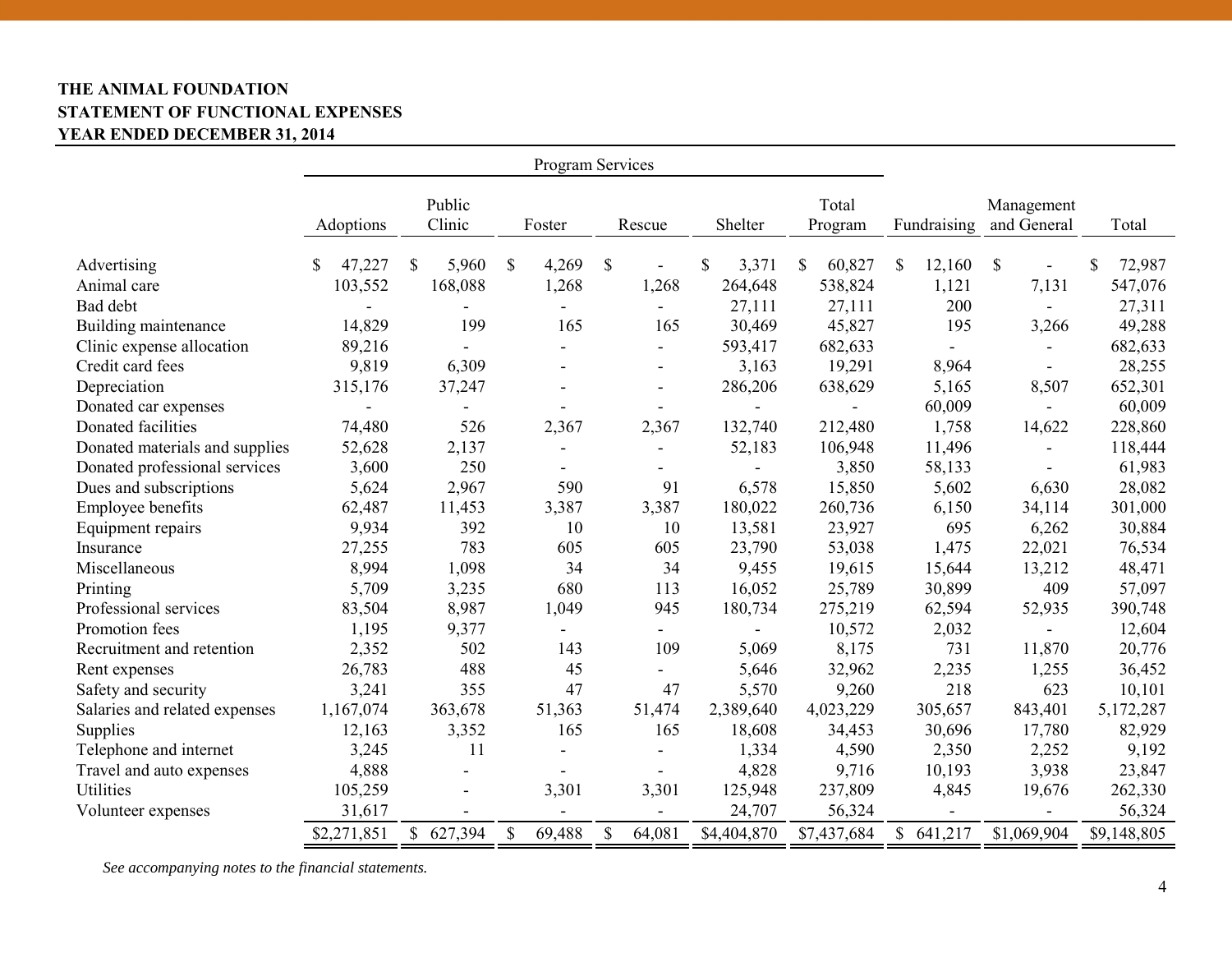# **THE ANIMAL FOUNDATION STATEMENT OF FUNCTIONAL EXPENSES YEAR ENDED DECEMBER 31, 2014**

| Program Services               |                         |                  |                          |                           |             |                  |                        |                           |              |
|--------------------------------|-------------------------|------------------|--------------------------|---------------------------|-------------|------------------|------------------------|---------------------------|--------------|
|                                | Adoptions               | Public<br>Clinic | Foster                   | Rescue                    | Shelter     | Total<br>Program | Fundraising            | Management<br>and General | Total        |
| Advertising                    | 47,227<br><sup>\$</sup> | \$<br>5,960      | \$<br>4,269              | $\boldsymbol{\mathsf{S}}$ | \$<br>3,371 | \$<br>60,827     | $\mathbb{S}$<br>12,160 | \$<br>$\blacksquare$      | 72,987<br>\$ |
| Animal care                    | 103,552                 | 168,088          | 1,268                    | 1,268                     | 264,648     | 538,824          | 1,121                  | 7,131                     | 547,076      |
| Bad debt                       |                         | Ξ.               | $\blacksquare$           | $\overline{a}$            | 27,111      | 27,111           | 200                    |                           | 27,311       |
| Building maintenance           | 14,829                  | 199              | 165                      | 165                       | 30,469      | 45,827           | 195                    | 3,266                     | 49,288       |
| Clinic expense allocation      | 89,216                  |                  | $\blacksquare$           |                           | 593,417     | 682,633          |                        |                           | 682,633      |
| Credit card fees               | 9,819                   | 6,309            | ٠                        | ٠                         | 3,163       | 19,291           | 8,964                  |                           | 28,255       |
| Depreciation                   | 315,176                 | 37,247           | $\overline{\phantom{a}}$ | $\overline{\phantom{a}}$  | 286,206     | 638,629          | 5,165                  | 8,507                     | 652,301      |
| Donated car expenses           |                         |                  | $\blacksquare$           | $\blacksquare$            |             |                  | 60,009                 |                           | 60,009       |
| Donated facilities             | 74,480                  | 526              | 2,367                    | 2,367                     | 132,740     | 212,480          | 1,758                  | 14,622                    | 228,860      |
| Donated materials and supplies | 52,628                  | 2,137            | $\overline{\phantom{a}}$ | $\overline{\phantom{a}}$  | 52,183      | 106,948          | 11,496                 | $\blacksquare$            | 118,444      |
| Donated professional services  | 3,600                   | 250              | $\overline{\phantom{a}}$ | $\overline{\phantom{a}}$  |             | 3,850            | 58,133                 |                           | 61,983       |
| Dues and subscriptions         | 5,624                   | 2,967            | 590                      | 91                        | 6,578       | 15,850           | 5,602                  | 6,630                     | 28,082       |
| <b>Employee benefits</b>       | 62,487                  | 11,453           | 3,387                    | 3,387                     | 180,022     | 260,736          | 6,150                  | 34,114                    | 301,000      |
| Equipment repairs              | 9,934                   | 392              | 10                       | 10                        | 13,581      | 23,927           | 695                    | 6,262                     | 30,884       |
| Insurance                      | 27,255                  | 783              | 605                      | 605                       | 23,790      | 53,038           | 1,475                  | 22,021                    | 76,534       |
| Miscellaneous                  | 8,994                   | 1,098            | 34                       | 34                        | 9,455       | 19,615           | 15,644                 | 13,212                    | 48,471       |
| Printing                       | 5,709                   | 3,235            | 680                      | 113                       | 16,052      | 25,789           | 30,899                 | 409                       | 57,097       |
| Professional services          | 83,504                  | 8,987            | 1,049                    | 945                       | 180,734     | 275,219          | 62,594                 | 52,935                    | 390,748      |
| Promotion fees                 | 1,195                   | 9,377            | $\blacksquare$           |                           |             | 10,572           | 2,032                  |                           | 12,604       |
| Recruitment and retention      | 2,352                   | 502              | 143                      | 109                       | 5,069       | 8,175            | 731                    | 11,870                    | 20,776       |
| Rent expenses                  | 26,783                  | 488              | 45                       |                           | 5,646       | 32,962           | 2,235                  | 1,255                     | 36,452       |
| Safety and security            | 3,241                   | 355              | 47                       | 47                        | 5,570       | 9,260            | 218                    | 623                       | 10,101       |
| Salaries and related expenses  | 1,167,074               | 363,678          | 51,363                   | 51,474                    | 2,389,640   | 4,023,229        | 305,657                | 843,401                   | 5,172,287    |
| Supplies                       | 12,163                  | 3,352            | 165                      | 165                       | 18,608      | 34,453           | 30,696                 | 17,780                    | 82,929       |
| Telephone and internet         | 3,245                   | 11               | $\overline{\phantom{a}}$ | $\overline{\phantom{a}}$  | 1,334       | 4,590            | 2,350                  | 2,252                     | 9,192        |
| Travel and auto expenses       | 4,888                   | $\blacksquare$   | $\blacksquare$           | $\blacksquare$            | 4,828       | 9,716            | 10,193                 | 3,938                     | 23,847       |
| Utilities                      | 105,259                 | $\blacksquare$   | 3,301                    | 3,301                     | 125,948     | 237,809          | 4,845                  | 19,676                    | 262,330      |
| Volunteer expenses             | 31,617                  |                  | $\blacksquare$           | $\blacksquare$            | 24,707      | 56,324           |                        |                           | 56,324       |
|                                | \$2,271,851             | \$627,394        | 69,488<br>\$             | \$<br>64,081              | \$4,404,870 | \$7,437,684      | \$641,217              | \$1,069,904               | \$9,148,805  |

*See accompanying notes to the financial statements.*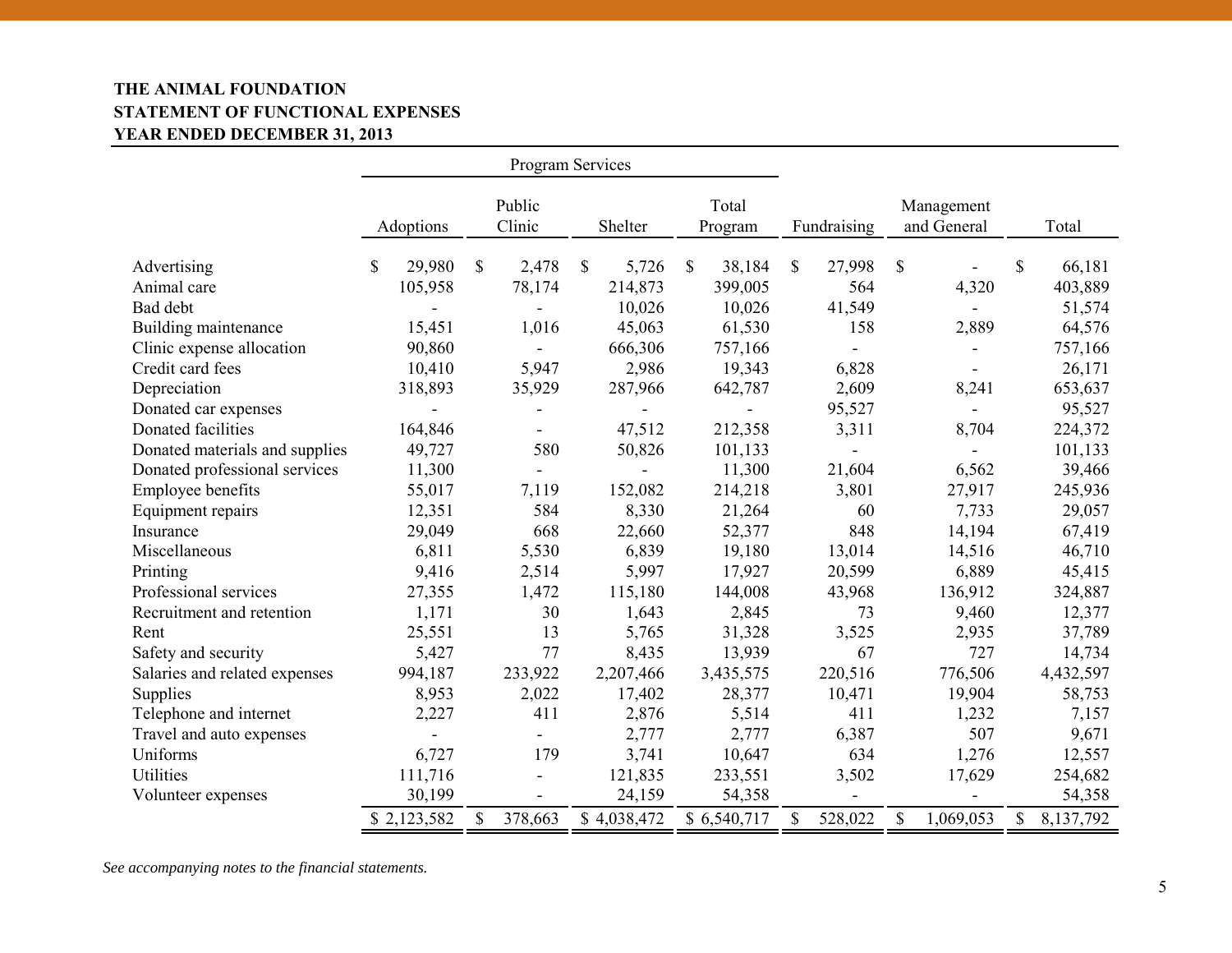# **THE ANIMAL FOUNDATION STATEMENT OF FUNCTIONAL EXPENSES YEAR ENDED DECEMBER 31, 2013**

|                                | Program Services |         |    |                          |    |             |                  |                |                           |                 |
|--------------------------------|------------------|---------|----|--------------------------|----|-------------|------------------|----------------|---------------------------|-----------------|
|                                | Adoptions        |         |    | Public<br>Clinic         |    | Shelter     | Total<br>Program | Fundraising    | Management<br>and General | Total           |
| Advertising                    | \$               | 29,980  | \$ | 2,478                    | \$ | 5,726       | \$<br>38,184     | \$<br>27,998   | \$                        | \$<br>66,181    |
| Animal care                    |                  | 105,958 |    | 78,174                   |    | 214,873     | 399,005          | 564            | 4,320                     | 403,889         |
| Bad debt                       |                  |         |    |                          |    | 10,026      | 10,026           | 41,549         | $\blacksquare$            | 51,574          |
| Building maintenance           |                  | 15,451  |    | 1,016                    |    | 45,063      | 61,530           | 158            | 2,889                     | 64,576          |
| Clinic expense allocation      |                  | 90,860  |    |                          |    | 666,306     | 757,166          |                |                           | 757,166         |
| Credit card fees               |                  | 10,410  |    | 5,947                    |    | 2,986       | 19,343           | 6,828          |                           | 26,171          |
| Depreciation                   |                  | 318,893 |    | 35,929                   |    | 287,966     | 642,787          | 2,609          | 8,241                     | 653,637         |
| Donated car expenses           |                  |         |    |                          |    |             |                  | 95,527         |                           | 95,527          |
| Donated facilities             |                  | 164,846 |    | $\overline{\phantom{a}}$ |    | 47,512      | 212,358          | 3,311          | 8,704                     | 224,372         |
| Donated materials and supplies |                  | 49,727  |    | 580                      |    | 50,826      | 101,133          | $\blacksquare$ |                           | 101,133         |
| Donated professional services  |                  | 11,300  |    |                          |    |             | 11,300           | 21,604         | 6,562                     | 39,466          |
| Employee benefits              |                  | 55,017  |    | 7,119                    |    | 152,082     | 214,218          | 3,801          | 27,917                    | 245,936         |
| Equipment repairs              |                  | 12,351  |    | 584                      |    | 8,330       | 21,264           | 60             | 7,733                     | 29,057          |
| Insurance                      |                  | 29,049  |    | 668                      |    | 22,660      | 52,377           | 848            | 14,194                    | 67,419          |
| Miscellaneous                  |                  | 6,811   |    | 5,530                    |    | 6,839       | 19,180           | 13,014         | 14,516                    | 46,710          |
| Printing                       |                  | 9,416   |    | 2,514                    |    | 5,997       | 17,927           | 20,599         | 6,889                     | 45,415          |
| Professional services          |                  | 27,355  |    | 1,472                    |    | 115,180     | 144,008          | 43,968         | 136,912                   | 324,887         |
| Recruitment and retention      |                  | 1,171   |    | 30                       |    | 1,643       | 2,845            | 73             | 9,460                     | 12,377          |
| Rent                           |                  | 25,551  |    | 13                       |    | 5,765       | 31,328           | 3,525          | 2,935                     | 37,789          |
| Safety and security            |                  | 5,427   |    | 77                       |    | 8,435       | 13,939           | 67             | 727                       | 14,734          |
| Salaries and related expenses  |                  | 994,187 |    | 233,922                  |    | 2,207,466   | 3,435,575        | 220,516        | 776,506                   | 4,432,597       |
| Supplies                       |                  | 8,953   |    | 2,022                    |    | 17,402      | 28,377           | 10,471         | 19,904                    | 58,753          |
| Telephone and internet         |                  | 2,227   |    | 411                      |    | 2,876       | 5,514            | 411            | 1,232                     | 7,157           |
| Travel and auto expenses       |                  |         |    |                          |    | 2,777       | 2,777            | 6,387          | 507                       | 9,671           |
| Uniforms                       |                  | 6,727   |    | 179                      |    | 3,741       | 10,647           | 634            | 1,276                     | 12,557          |
| <b>Utilities</b>               |                  | 111,716 |    | ä,                       |    | 121,835     | 233,551          | 3,502          | 17,629                    | 254,682         |
| Volunteer expenses             |                  | 30,199  |    |                          |    | 24,159      | 54,358           |                |                           | 54,358          |
|                                | \$2,123,582      |         | \$ | 378,663                  |    | \$4,038,472 | \$6,540,717      | \$<br>528,022  | \$<br>1,069,053           | \$<br>8,137,792 |

*See accompanying notes to the financial statements.*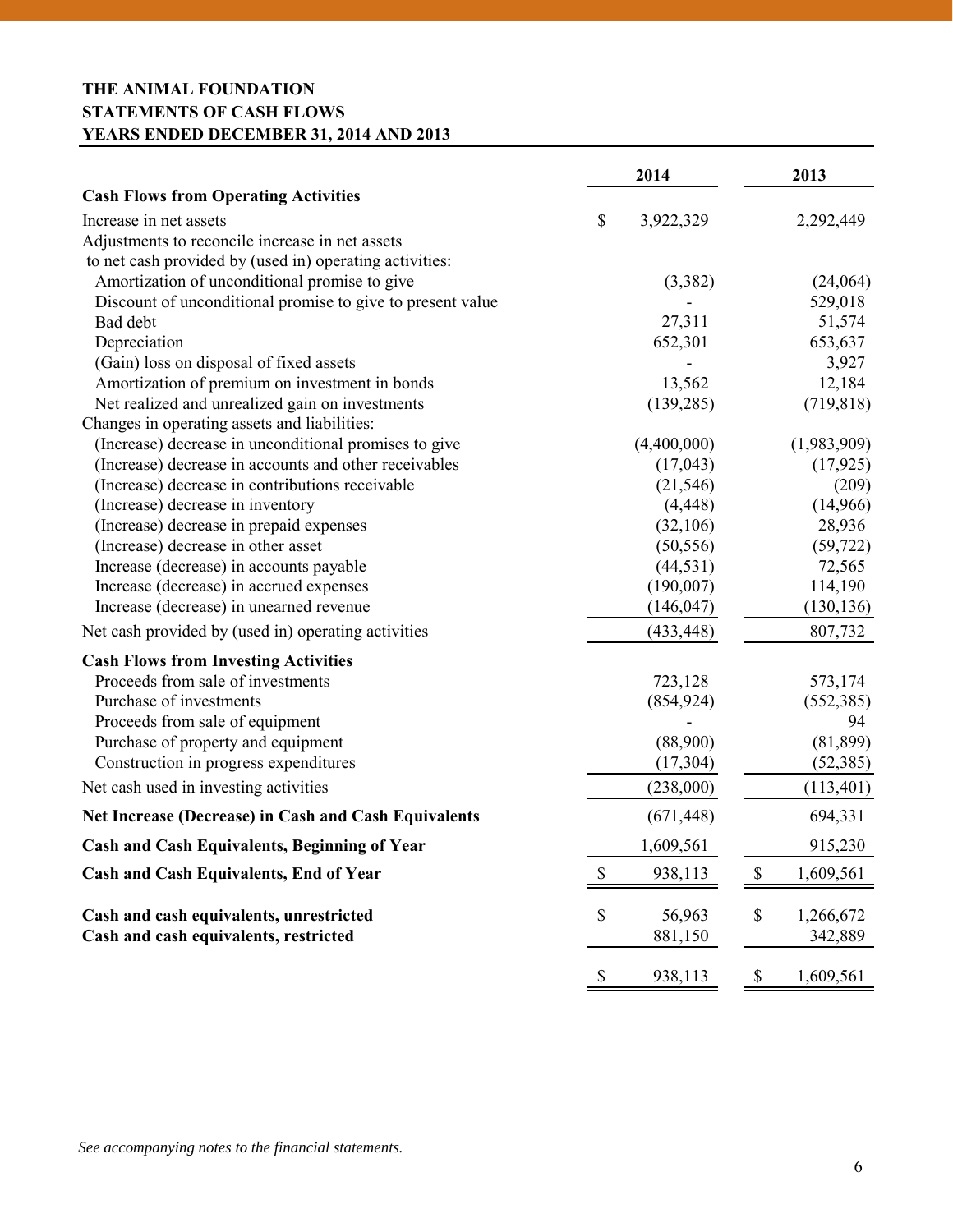# **THE ANIMAL FOUNDATION STATEMENTS OF CASH FLOWS YEARS ENDED DECEMBER 31, 2014 AND 2013**

|                                                            |      | 2014        |             | 2013        |
|------------------------------------------------------------|------|-------------|-------------|-------------|
| <b>Cash Flows from Operating Activities</b>                |      |             |             |             |
| Increase in net assets                                     | \$   | 3,922,329   |             | 2,292,449   |
| Adjustments to reconcile increase in net assets            |      |             |             |             |
| to net cash provided by (used in) operating activities:    |      |             |             |             |
| Amortization of unconditional promise to give              |      | (3,382)     |             | (24,064)    |
| Discount of unconditional promise to give to present value |      |             |             | 529,018     |
| Bad debt                                                   |      | 27,311      |             | 51,574      |
| Depreciation                                               |      | 652,301     |             | 653,637     |
| (Gain) loss on disposal of fixed assets                    |      |             |             | 3,927       |
| Amortization of premium on investment in bonds             |      | 13,562      |             | 12,184      |
| Net realized and unrealized gain on investments            |      | (139, 285)  |             | (719, 818)  |
| Changes in operating assets and liabilities:               |      |             |             |             |
| (Increase) decrease in unconditional promises to give      |      | (4,400,000) |             | (1,983,909) |
| (Increase) decrease in accounts and other receivables      |      | (17,043)    |             | (17, 925)   |
| (Increase) decrease in contributions receivable            |      | (21, 546)   |             | (209)       |
| (Increase) decrease in inventory                           |      | (4, 448)    |             | (14,966)    |
| (Increase) decrease in prepaid expenses                    |      | (32,106)    |             | 28,936      |
| (Increase) decrease in other asset                         |      | (50, 556)   |             | (59, 722)   |
| Increase (decrease) in accounts payable                    |      | (44, 531)   |             | 72,565      |
| Increase (decrease) in accrued expenses                    |      | (190,007)   |             | 114,190     |
| Increase (decrease) in unearned revenue                    |      | (146, 047)  |             | (130, 136)  |
| Net cash provided by (used in) operating activities        |      | (433, 448)  |             | 807,732     |
| <b>Cash Flows from Investing Activities</b>                |      |             |             |             |
| Proceeds from sale of investments                          |      | 723,128     |             | 573,174     |
| Purchase of investments                                    |      | (854, 924)  |             | (552, 385)  |
| Proceeds from sale of equipment                            |      |             |             | 94          |
| Purchase of property and equipment                         |      | (88,900)    |             | (81,899)    |
| Construction in progress expenditures                      |      | (17,304)    |             | (52, 385)   |
| Net cash used in investing activities                      |      | (238,000)   |             | (113, 401)  |
| Net Increase (Decrease) in Cash and Cash Equivalents       |      | (671, 448)  |             | 694,331     |
| <b>Cash and Cash Equivalents, Beginning of Year</b>        |      | 1,609,561   |             | 915,230     |
| <b>Cash and Cash Equivalents, End of Year</b>              | \$   | 938,113     | $\$\,$      | 1,609,561   |
|                                                            |      |             |             |             |
| Cash and cash equivalents, unrestricted                    | $\$$ | 56,963      | $\mathbb S$ | 1,266,672   |
| Cash and cash equivalents, restricted                      |      | 881,150     |             | 342,889     |
|                                                            | \$   | 938,113     | $\mathbb S$ | 1,609,561   |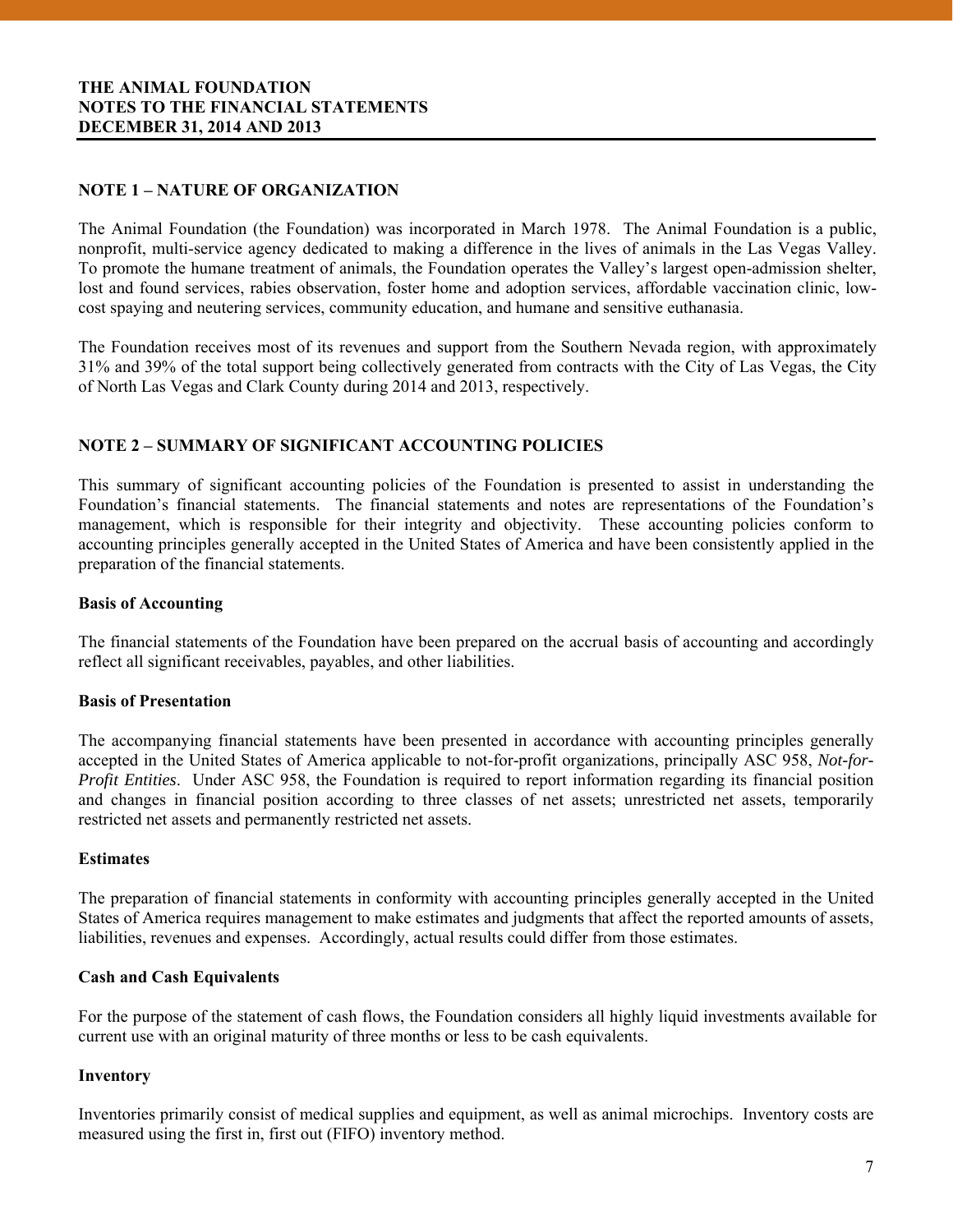#### **NOTE 1 – NATURE OF ORGANIZATION**

The Animal Foundation (the Foundation) was incorporated in March 1978. The Animal Foundation is a public, nonprofit, multi-service agency dedicated to making a difference in the lives of animals in the Las Vegas Valley. To promote the humane treatment of animals, the Foundation operates the Valley's largest open-admission shelter, lost and found services, rabies observation, foster home and adoption services, affordable vaccination clinic, lowcost spaying and neutering services, community education, and humane and sensitive euthanasia.

The Foundation receives most of its revenues and support from the Southern Nevada region, with approximately 31% and 39% of the total support being collectively generated from contracts with the City of Las Vegas, the City of North Las Vegas and Clark County during 2014 and 2013, respectively.

### **NOTE 2 – SUMMARY OF SIGNIFICANT ACCOUNTING POLICIES**

This summary of significant accounting policies of the Foundation is presented to assist in understanding the Foundation's financial statements. The financial statements and notes are representations of the Foundation's management, which is responsible for their integrity and objectivity. These accounting policies conform to accounting principles generally accepted in the United States of America and have been consistently applied in the preparation of the financial statements.

#### **Basis of Accounting**

The financial statements of the Foundation have been prepared on the accrual basis of accounting and accordingly reflect all significant receivables, payables, and other liabilities.

#### **Basis of Presentation**

The accompanying financial statements have been presented in accordance with accounting principles generally accepted in the United States of America applicable to not-for-profit organizations, principally ASC 958, *Not-for-Profit Entities*. Under ASC 958, the Foundation is required to report information regarding its financial position and changes in financial position according to three classes of net assets; unrestricted net assets, temporarily restricted net assets and permanently restricted net assets.

#### **Estimates**

 liabilities, revenues and expenses. Accordingly, actual results could differ from those estimates. The preparation of financial statements in conformity with accounting principles generally accepted in the United States of America requires management to make estimates and judgments that affect the reported amounts of assets,

#### **Cash and Cash Equivalents**

For the purpose of the statement of cash flows, the Foundation considers all highly liquid investments available for current use with an original maturity of three months or less to be cash equivalents.

#### **Inventory**

Inventories primarily consist of medical supplies and equipment, as well as animal microchips. Inventory costs are measured using the first in, first out (FIFO) inventory method.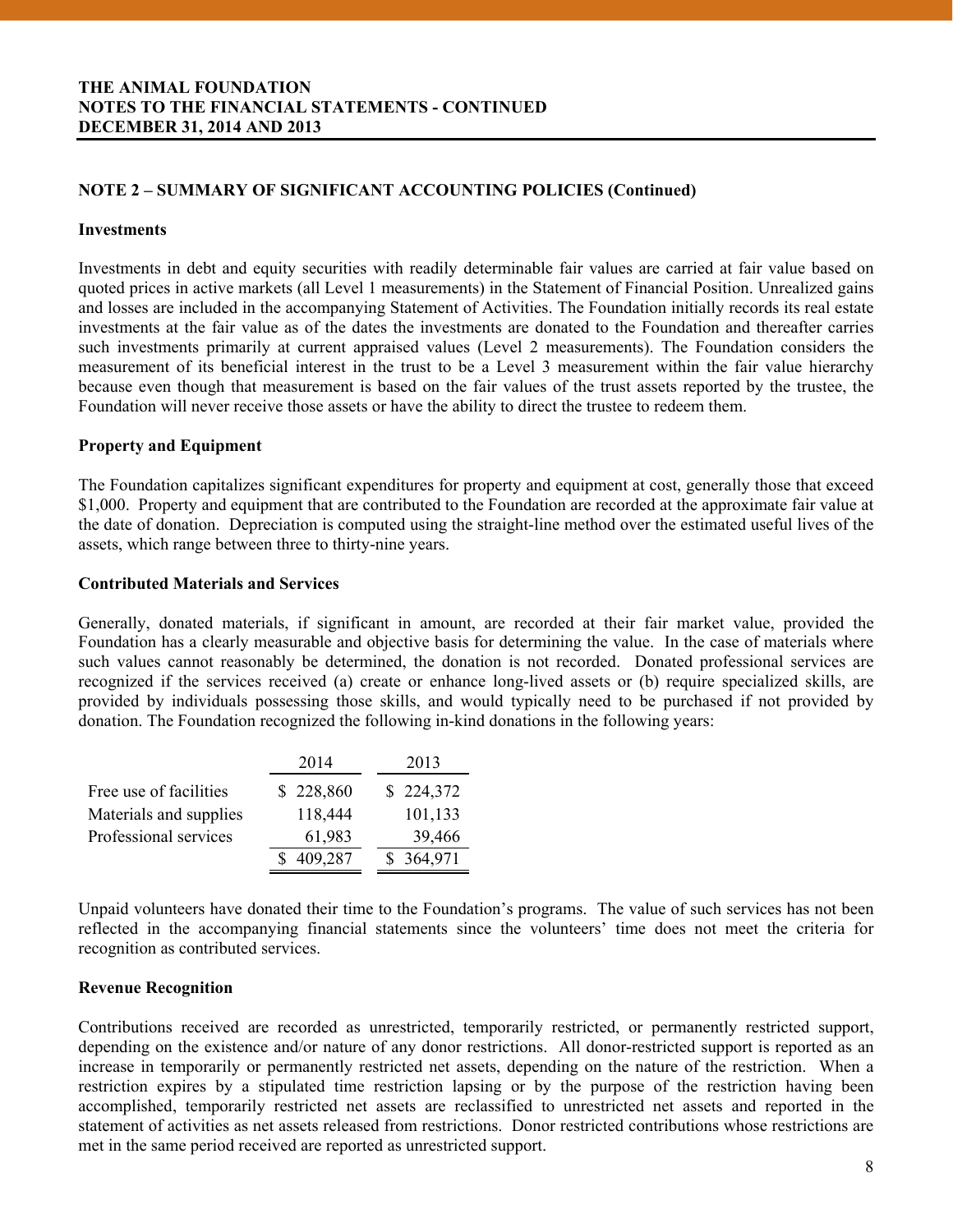#### **NOTE 2 – SUMMARY OF SIGNIFICANT ACCOUNTING POLICIES (Continued)**

#### **Investments**

Investments in debt and equity securities with readily determinable fair values are carried at fair value based on quoted prices in active markets (all Level 1 measurements) in the Statement of Financial Position. Unrealized gains and losses are included in the accompanying Statement of Activities. The Foundation initially records its real estate investments at the fair value as of the dates the investments are donated to the Foundation and thereafter carries such investments primarily at current appraised values (Level 2 measurements). The Foundation considers the measurement of its beneficial interest in the trust to be a Level 3 measurement within the fair value hierarchy because even though that measurement is based on the fair values of the trust assets reported by the trustee, the Foundation will never receive those assets or have the ability to direct the trustee to redeem them.

#### **Property and Equipment**

The Foundation capitalizes significant expenditures for property and equipment at cost, generally those that exceed \$1,000. Property and equipment that are contributed to the Foundation are recorded at the approximate fair value at the date of donation. Depreciation is computed using the straight-line method over the estimated useful lives of the assets, which range between three to thirty-nine years.

#### **Contributed Materials and Services**

Generally, donated materials, if significant in amount, are recorded at their fair market value, provided the Foundation has a clearly measurable and objective basis for determining the value. In the case of materials where such values cannot reasonably be determined, the donation is not recorded. Donated professional services are recognized if the services received (a) create or enhance long-lived assets or (b) require specialized skills, are provided by individuals possessing those skills, and would typically need to be purchased if not provided by donation. The Foundation recognized the following in-kind donations in the following years:

|                        | 2014      | 2013      |
|------------------------|-----------|-----------|
| Free use of facilities | \$228,860 | \$224,372 |
| Materials and supplies | 118,444   | 101,133   |
| Professional services  | 61,983    | 39,466    |
|                        | 409,287   | 364,971   |

 recognition as contributed services. Unpaid volunteers have donated their time to the Foundation's programs. The value of such services has not been reflected in the accompanying financial statements since the volunteers' time does not meet the criteria for

#### **Revenue Recognition**

Contributions received are recorded as unrestricted, temporarily restricted, or permanently restricted support, depending on the existence and/or nature of any donor restrictions. All donor-restricted support is reported as an increase in temporarily or permanently restricted net assets, depending on the nature of the restriction. When a restriction expires by a stipulated time restriction lapsing or by the purpose of the restriction having been accomplished, temporarily restricted net assets are reclassified to unrestricted net assets and reported in the statement of activities as net assets released from restrictions. Donor restricted contributions whose restrictions are met in the same period received are reported as unrestricted support.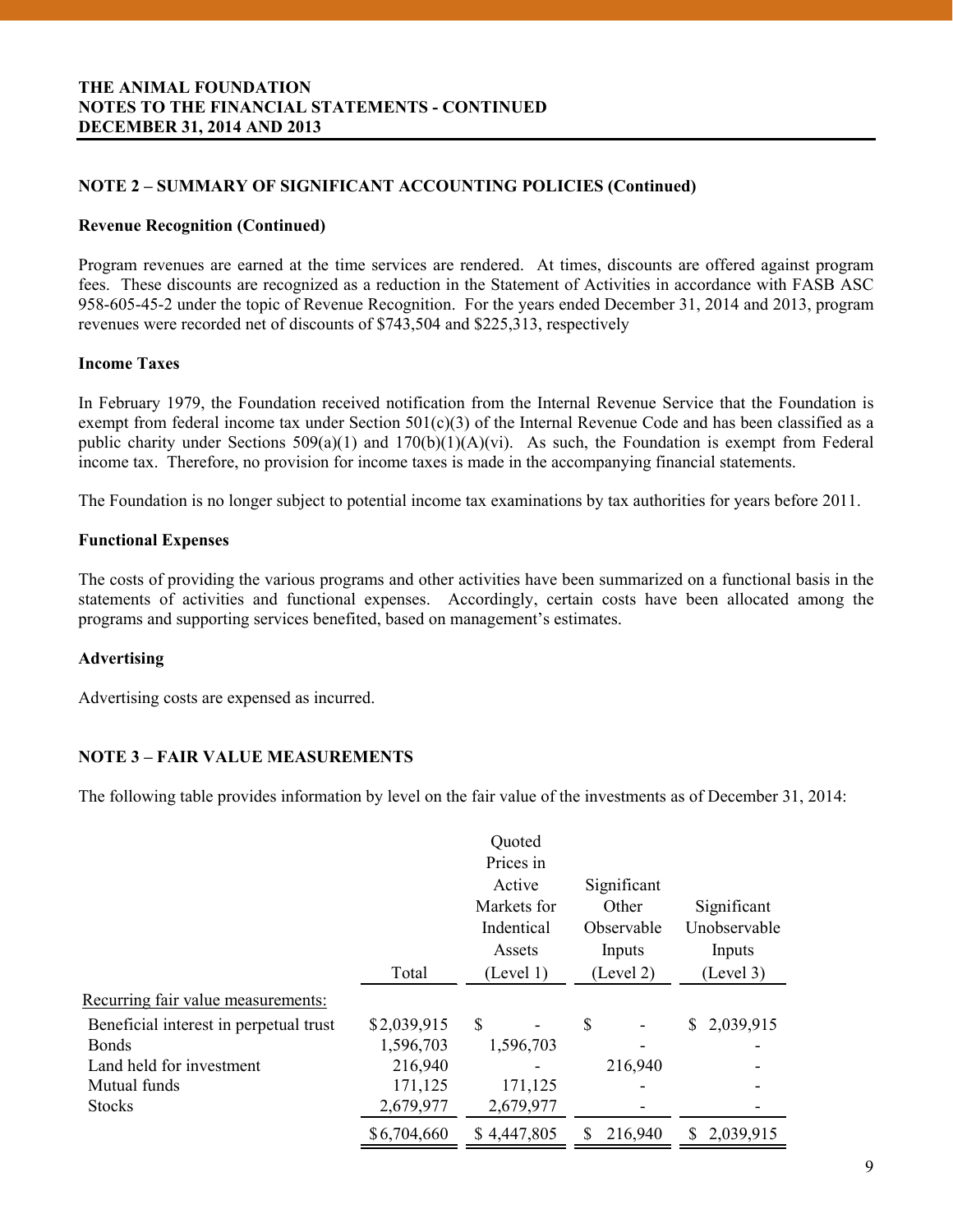#### **NOTE 2 – SUMMARY OF SIGNIFICANT ACCOUNTING POLICIES (Continued)**

#### **Revenue Recognition (Continued)**

Program revenues are earned at the time services are rendered. At times, discounts are offered against program fees. These discounts are recognized as a reduction in the Statement of Activities in accordance with FASB ASC 958-605-45-2 under the topic of Revenue Recognition. For the years ended December 31, 2014 and 2013, program revenues were recorded net of discounts of \$743,504 and \$225,313, respectively

#### **Income Taxes**

In February 1979, the Foundation received notification from the Internal Revenue Service that the Foundation is exempt from federal income tax under Section  $501(c)(3)$  of the Internal Revenue Code and has been classified as a public charity under Sections  $509(a)(1)$  and  $170(b)(1)(A)(vi)$ . As such, the Foundation is exempt from Federal income tax. Therefore, no provision for income taxes is made in the accompanying financial statements.

The Foundation is no longer subject to potential income tax examinations by tax authorities for years before 2011.

#### **Functional Expenses**

The costs of providing the various programs and other activities have been summarized on a functional basis in the statements of activities and functional expenses. Accordingly, certain costs have been allocated among the programs and supporting services benefited, based on management's estimates.

### **Advertising**

Advertising costs are expensed as incurred.

### **NOTE 3 – FAIR VALUE MEASUREMENTS**

The following table provides information by level on the fair value of the investments as of December 31, 2014:

|                                        |             | Quoted      |              |                 |  |
|----------------------------------------|-------------|-------------|--------------|-----------------|--|
|                                        |             | Prices in   |              |                 |  |
|                                        |             | Active      | Significant  |                 |  |
|                                        |             | Markets for | Significant  |                 |  |
|                                        |             | Indentical  | Observable   | Unobservable    |  |
|                                        |             | Assets      | Inputs       | Inputs          |  |
|                                        | Total       | (Level 1)   | (Level 2)    | (Level 3)       |  |
| Recurring fair value measurements:     |             |             |              |                 |  |
| Beneficial interest in perpetual trust | \$2,039,915 | \$          | \$           | 2,039,915<br>\$ |  |
| <b>Bonds</b>                           | 1,596,703   | 1,596,703   |              |                 |  |
| Land held for investment               | 216,940     |             | 216,940      |                 |  |
| Mutual funds                           | 171,125     | 171,125     |              |                 |  |
| <b>Stocks</b>                          | 2,679,977   | 2,679,977   |              |                 |  |
|                                        | \$6,704,660 | \$4,447,805 | 216,940<br>S | 2,039,915<br>S. |  |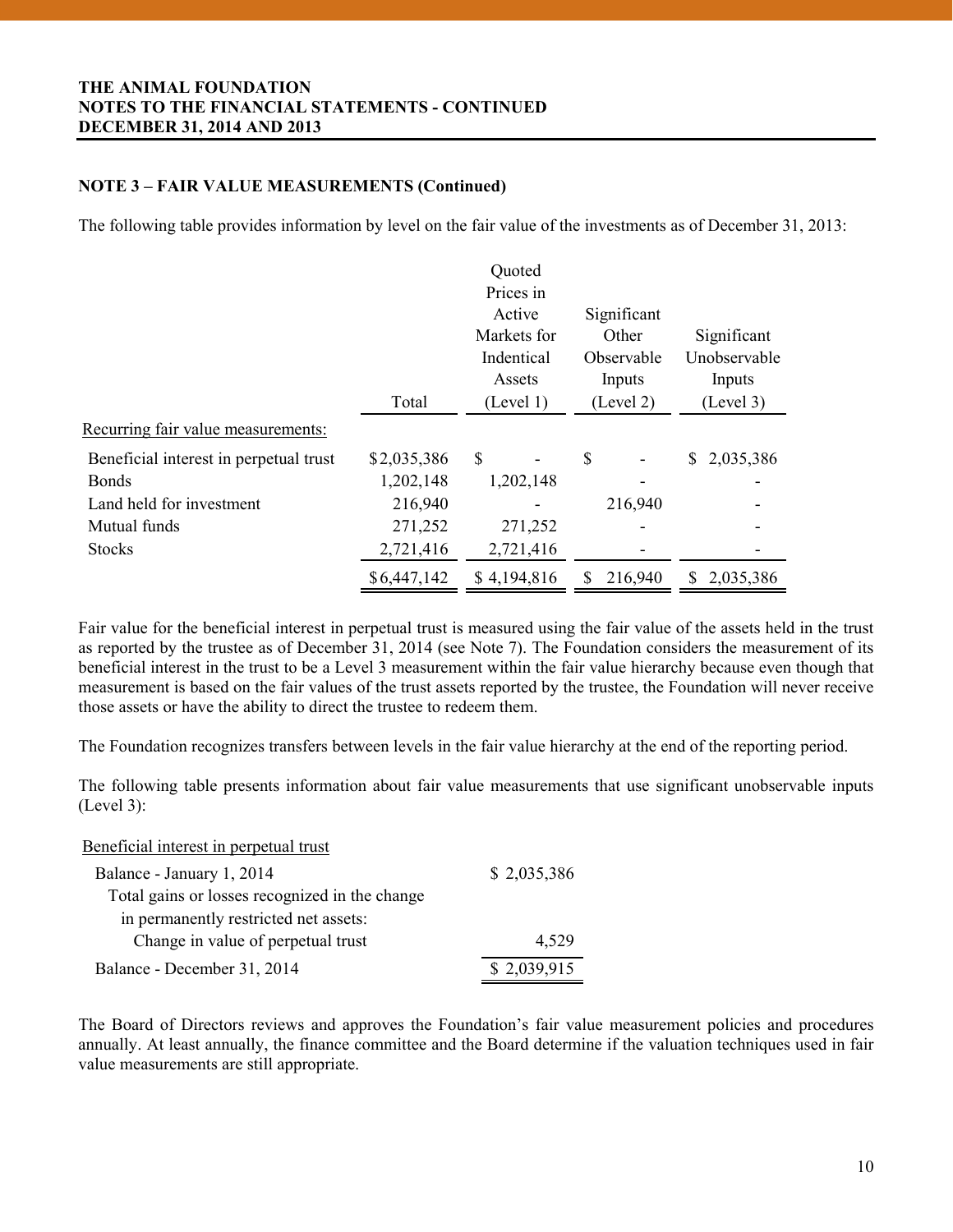### **NOTE 3 – FAIR VALUE MEASUREMENTS (Continued)**

The following table provides information by level on the fair value of the investments as of December 31, 2013:

|                                        |             | Quoted<br>Prices in<br>Active<br>Markets for<br>Indentical<br>Assets | Significant<br>Other<br>Observable<br>Inputs | Significant<br>Unobservable<br>Inputs |  |
|----------------------------------------|-------------|----------------------------------------------------------------------|----------------------------------------------|---------------------------------------|--|
|                                        | Total       | (Level 1)                                                            | (Level 2)                                    | (Level 3)                             |  |
| Recurring fair value measurements:     |             |                                                                      |                                              |                                       |  |
| Beneficial interest in perpetual trust | \$2,035,386 | \$                                                                   | \$                                           | 2,035,386<br>\$                       |  |
| <b>Bonds</b>                           | 1,202,148   | 1,202,148                                                            |                                              |                                       |  |
| Land held for investment               | 216,940     |                                                                      | 216,940                                      |                                       |  |
| Mutual funds                           | 271,252     | 271,252                                                              |                                              |                                       |  |
| <b>Stocks</b>                          | 2,721,416   | 2,721,416                                                            |                                              |                                       |  |
|                                        | \$6,447,142 | \$4,194,816                                                          | 216,940<br>S                                 | 2,035,386<br>S.                       |  |

Fair value for the beneficial interest in perpetual trust is measured using the fair value of the assets held in the trust as reported by the trustee as of December 31, 2014 (see Note 7). The Foundation considers the measurement of its beneficial interest in the trust to be a Level 3 measurement within the fair value hierarchy because even though that measurement is based on the fair values of the trust assets reported by the trustee, the Foundation will never receive those assets or have the ability to direct the trustee to redeem them.

The Foundation recognizes transfers between levels in the fair value hierarchy at the end of the reporting period.

The following table presents information about fair value measurements that use significant unobservable inputs (Level 3):

Beneficial interest in perpetual trust

| Balance - January 1, 2014                      | \$2,035,386 |
|------------------------------------------------|-------------|
| Total gains or losses recognized in the change |             |
| in permanently restricted net assets:          |             |
| Change in value of perpetual trust             | 4,529       |
| Balance - December 31, 2014                    | \$2,039,915 |

The Board of Directors reviews and approves the Foundation's fair value measurement policies and procedures annually. At least annually, the finance committee and the Board determine if the valuation techniques used in fair value measurements are still appropriate.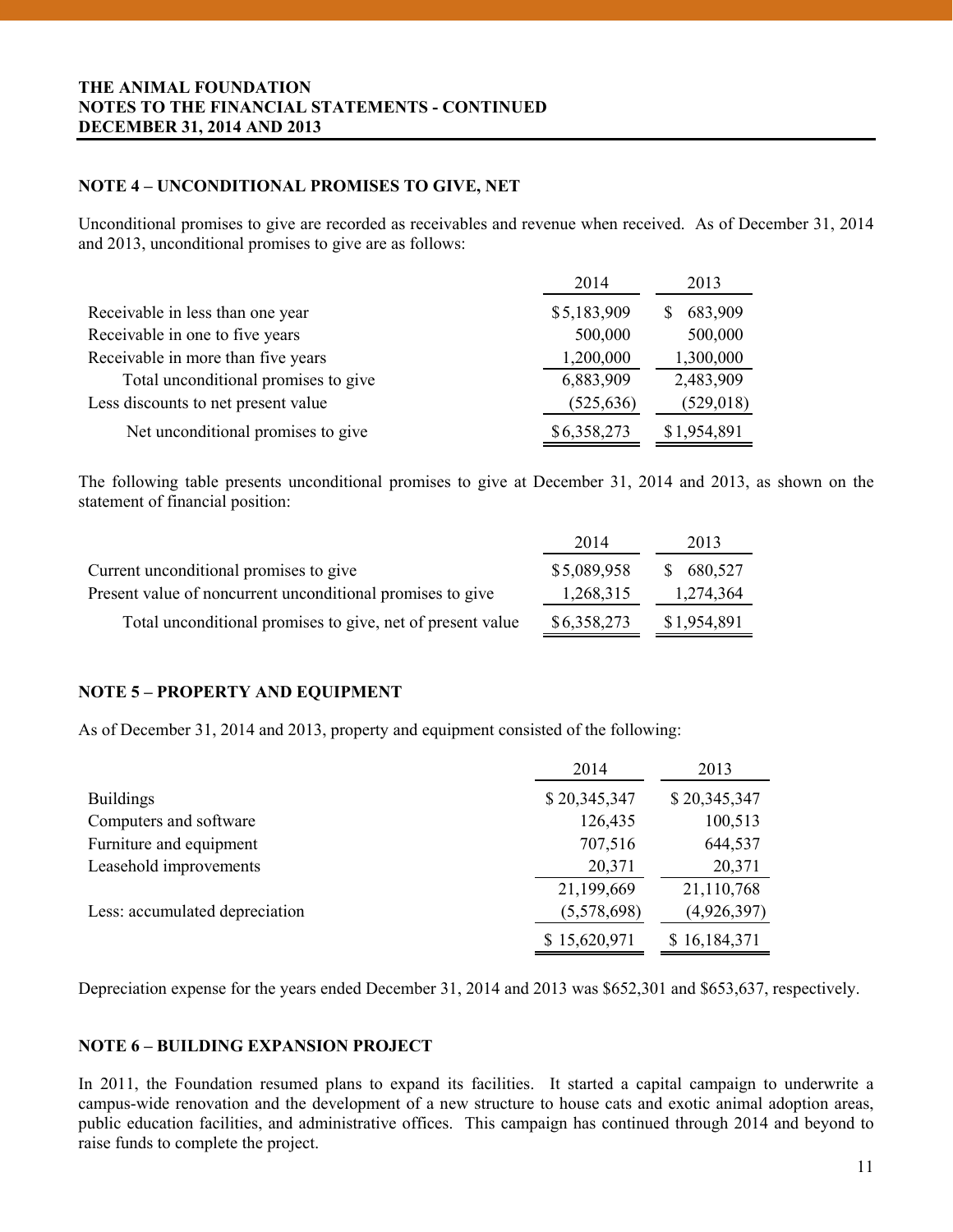### **NOTE 4 – UNCONDITIONAL PROMISES TO GIVE, NET**

Unconditional promises to give are recorded as receivables and revenue when received. As of December 31, 2014 and 2013, unconditional promises to give are as follows:

|                                      | 2014        | 2013        |
|--------------------------------------|-------------|-------------|
| Receivable in less than one year     | \$5,183,909 | 683,909     |
| Receivable in one to five years      | 500,000     | 500,000     |
| Receivable in more than five years   | 1,200,000   | 1,300,000   |
| Total unconditional promises to give | 6,883,909   | 2,483,909   |
| Less discounts to net present value  | (525, 636)  | (529, 018)  |
| Net unconditional promises to give   | \$6,358,273 | \$1,954,891 |

The following table presents unconditional promises to give at December 31, 2014 and 2013, as shown on the statement of financial position:

|                                                            | 2014        | 2013        |
|------------------------------------------------------------|-------------|-------------|
| Current unconditional promises to give                     | \$5,089,958 | \$680,527   |
| Present value of noncurrent unconditional promises to give | 1,268,315   | 1,274,364   |
| Total unconditional promises to give, net of present value | \$6,358,273 | \$1,954,891 |

### **NOTE 5 – PROPERTY AND EQUIPMENT**

As of December 31, 2014 and 2013, property and equipment consisted of the following:

|                                | 2014         | 2013          |
|--------------------------------|--------------|---------------|
| <b>Buildings</b>               | \$20,345,347 | \$20,345,347  |
| Computers and software         | 126,435      | 100,513       |
| Furniture and equipment        | 707,516      | 644,537       |
| Leasehold improvements         | 20,371       | 20,371        |
|                                | 21,199,669   | 21,110,768    |
| Less: accumulated depreciation | (5,578,698)  | (4, 926, 397) |
|                                | \$15,620,971 | \$16,184,371  |

Depreciation expense for the years ended December 31, 2014 and 2013 was \$652,301 and \$653,637, respectively.

### **NOTE 6 – BUILDING EXPANSION PROJECT**

In 2011, the Foundation resumed plans to expand its facilities. It started a capital campaign to underwrite a campus-wide renovation and the development of a new structure to house cats and exotic animal adoption areas, public education facilities, and administrative offices. This campaign has continued through 2014 and beyond to raise funds to complete the project.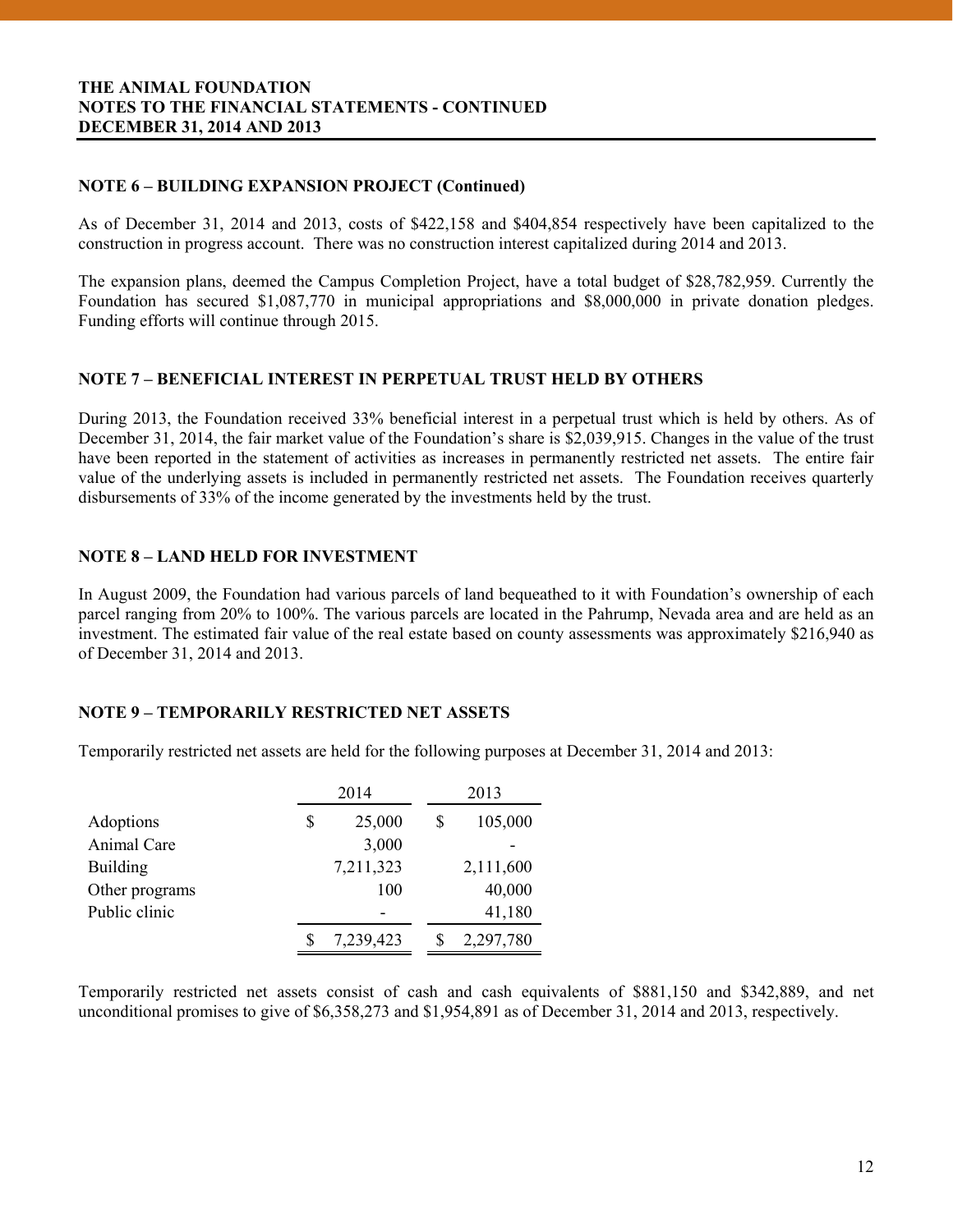#### **NOTE 6 – BUILDING EXPANSION PROJECT (Continued)**

As of December 31, 2014 and 2013, costs of \$422,158 and \$404,854 respectively have been capitalized to the construction in progress account. There was no construction interest capitalized during 2014 and 2013.

The expansion plans, deemed the Campus Completion Project, have a total budget of \$28,782,959. Currently the Foundation has secured \$1,087,770 in municipal appropriations and \$8,000,000 in private donation pledges. Funding efforts will continue through 2015.

### **NOTE 7 – BENEFICIAL INTEREST IN PERPETUAL TRUST HELD BY OTHERS**

During 2013, the Foundation received 33% beneficial interest in a perpetual trust which is held by others. As of December 31, 2014, the fair market value of the Foundation's share is \$2,039,915. Changes in the value of the trust have been reported in the statement of activities as increases in permanently restricted net assets. The entire fair value of the underlying assets is included in permanently restricted net assets. The Foundation receives quarterly disbursements of 33% of the income generated by the investments held by the trust.

### **NOTE 8 – LAND HELD FOR INVESTMENT**

In August 2009, the Foundation had various parcels of land bequeathed to it with Foundation's ownership of each parcel ranging from 20% to 100%. The various parcels are located in the Pahrump, Nevada area and are held as an investment. The estimated fair value of the real estate based on county assessments was approximately \$216,940 as of December 31, 2014 and 2013.

#### **NOTE 9 – TEMPORARILY RESTRICTED NET ASSETS**

Temporarily restricted net assets are held for the following purposes at December 31, 2014 and 2013:

|                 |   | 2014      | 2013          |
|-----------------|---|-----------|---------------|
| Adoptions       | S | 25,000    | \$<br>105,000 |
| Animal Care     |   | 3,000     |               |
| <b>Building</b> |   | 7,211,323 | 2,111,600     |
| Other programs  |   | 100       | 40,000        |
| Public clinic   |   |           | 41,180        |
|                 |   | 7,239,423 | 2,297,780     |

Temporarily restricted net assets consist of cash and cash equivalents of \$881,150 and \$342,889, and net unconditional promises to give of \$6,358,273 and \$1,954,891 as of December 31, 2014 and 2013, respectively.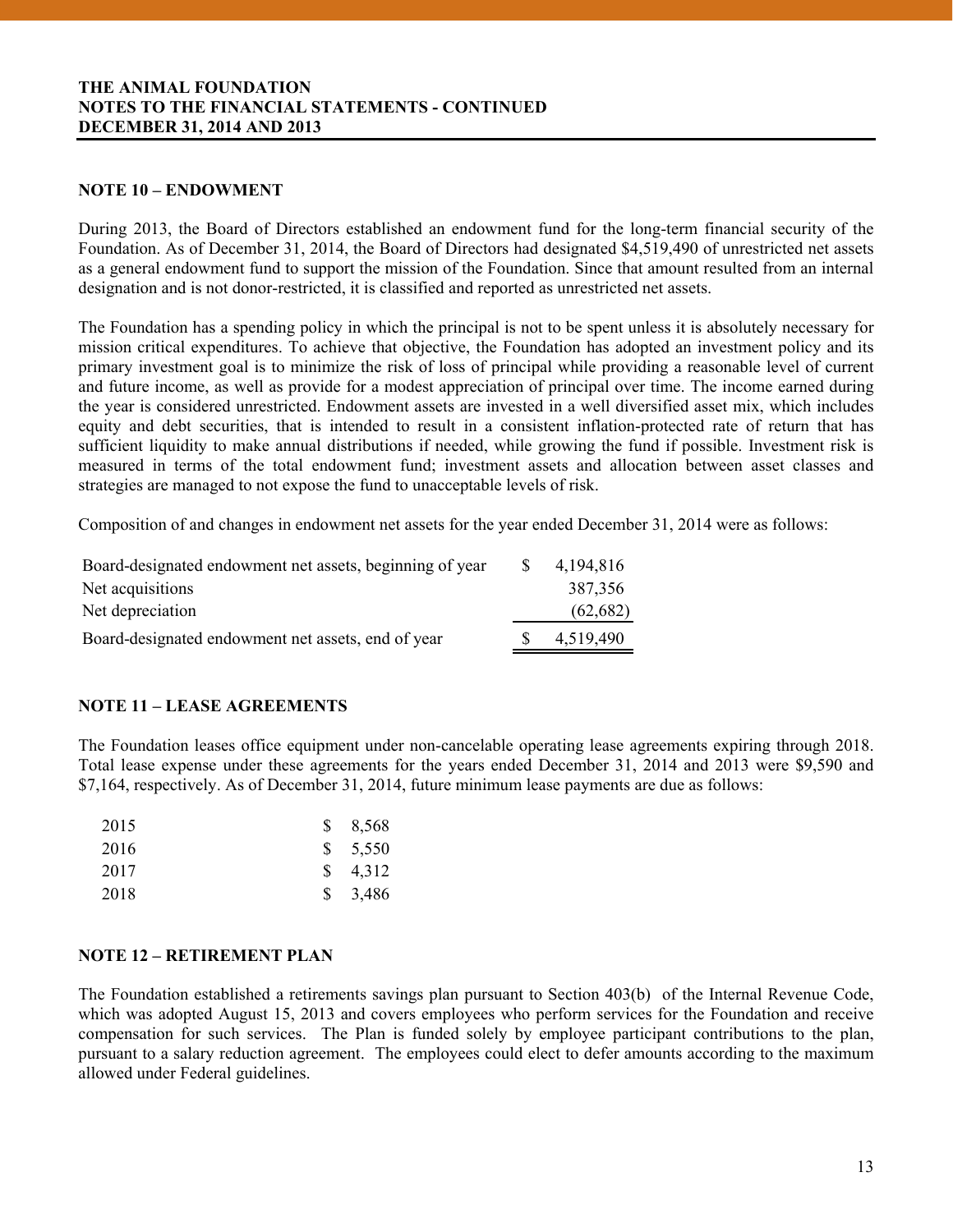#### **NOTE 10 – ENDOWMENT**

During 2013, the Board of Directors established an endowment fund for the long-term financial security of the Foundation. As of December 31, 2014, the Board of Directors had designated \$4,519,490 of unrestricted net assets as a general endowment fund to support the mission of the Foundation. Since that amount resulted from an internal designation and is not donor-restricted, it is classified and reported as unrestricted net assets.

The Foundation has a spending policy in which the principal is not to be spent unless it is absolutely necessary for mission critical expenditures. To achieve that objective, the Foundation has adopted an investment policy and its primary investment goal is to minimize the risk of loss of principal while providing a reasonable level of current and future income, as well as provide for a modest appreciation of principal over time. The income earned during the year is considered unrestricted. Endowment assets are invested in a well diversified asset mix, which includes equity and debt securities, that is intended to result in a consistent inflation-protected rate of return that has sufficient liquidity to make annual distributions if needed, while growing the fund if possible. Investment risk is measured in terms of the total endowment fund; investment assets and allocation between asset classes and strategies are managed to not expose the fund to unacceptable levels of risk.

Composition of and changes in endowment net assets for the year ended December 31, 2014 were as follows:

| Board-designated endowment net assets, beginning of year | 4.194.816 |
|----------------------------------------------------------|-----------|
| Net acquisitions                                         | 387,356   |
| Net depreciation                                         | (62, 682) |
| Board-designated endowment net assets, end of year       | 4,519,490 |

### **NOTE 11 – LEASE AGREEMENTS**

The Foundation leases office equipment under non-cancelable operating lease agreements expiring through 2018. Total lease expense under these agreements for the years ended December 31, 2014 and 2013 were \$9,590 and \$7,164, respectively. As of December 31, 2014, future minimum lease payments are due as follows:

| 2015 |    | \$8,568 |
|------|----|---------|
| 2016 |    | \$5,550 |
| 2017 | S. | 4,312   |
| 2018 |    | \$3,486 |

# **NOTE 12 – RETIREMENT PLAN**

The Foundation established a retirements savings plan pursuant to Section 403(b) of the Internal Revenue Code, which was adopted August 15, 2013 and covers employees who perform services for the Foundation and receive compensation for such services. The Plan is funded solely by employee participant contributions to the plan, pursuant to a salary reduction agreement. The employees could elect to defer amounts according to the maximum allowed under Federal guidelines.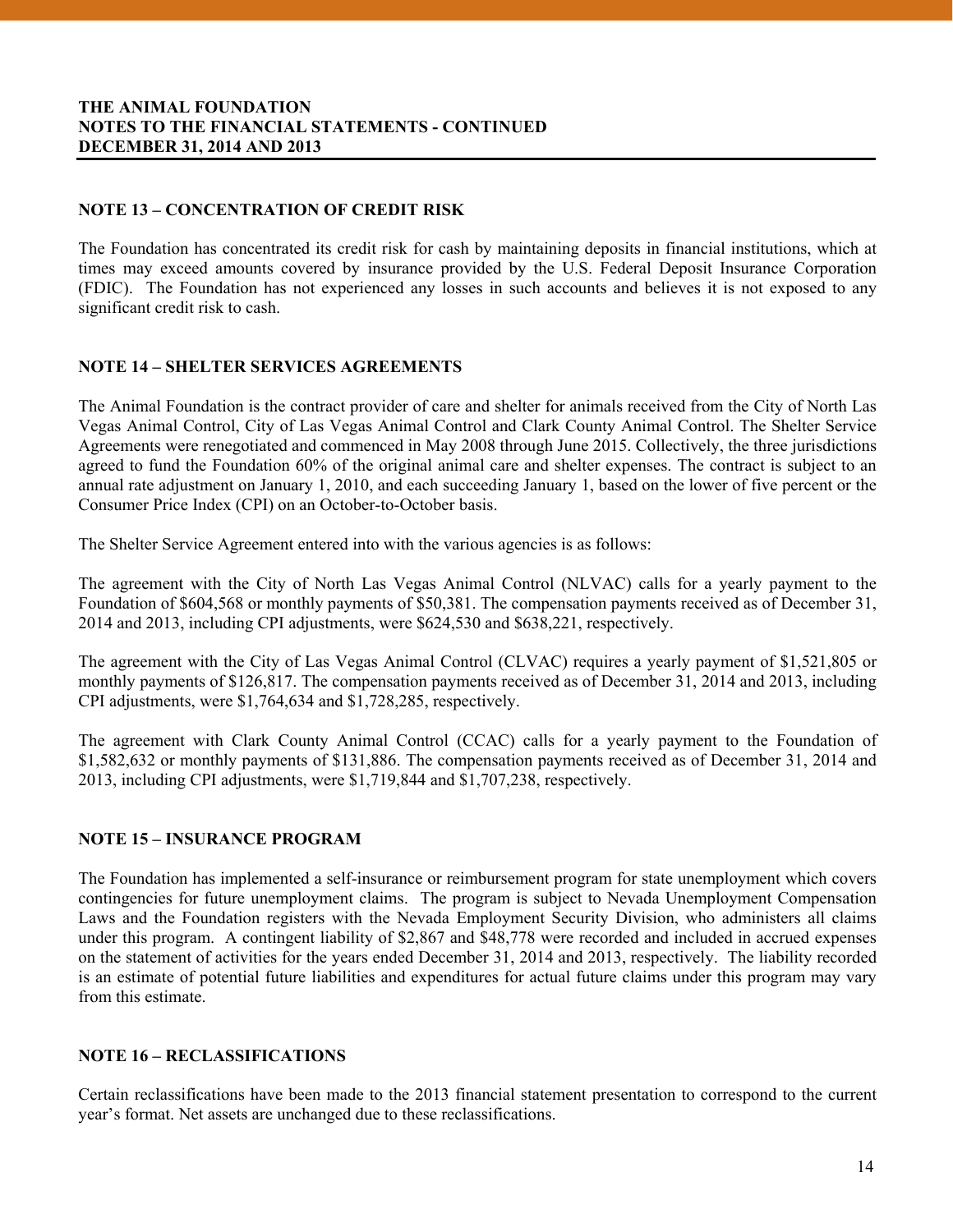### **NOTE 13 – CONCENTRATION OF CREDIT RISK**

The Foundation has concentrated its credit risk for cash by maintaining deposits in financial institutions, which at times may exceed amounts covered by insurance provided by the U.S. Federal Deposit Insurance Corporation (FDIC). The Foundation has not experienced any losses in such accounts and believes it is not exposed to any significant credit risk to cash.

#### **NOTE 14 – SHELTER SERVICES AGREEMENTS**

The Animal Foundation is the contract provider of care and shelter for animals received from the City of North Las Vegas Animal Control, City of Las Vegas Animal Control and Clark County Animal Control. The Shelter Service Agreements were renegotiated and commenced in May 2008 through June 2015. Collectively, the three jurisdictions agreed to fund the Foundation 60% of the original animal care and shelter expenses. The contract is subject to an annual rate adjustment on January 1, 2010, and each succeeding January 1, based on the lower of five percent or the Consumer Price Index (CPI) on an October-to-October basis.

The Shelter Service Agreement entered into with the various agencies is as follows:

The agreement with the City of North Las Vegas Animal Control (NLVAC) calls for a yearly payment to the Foundation of \$604,568 or monthly payments of \$50,381. The compensation payments received as of December 31, 2014 and 2013, including CPI adjustments, were \$624,530 and \$638,221, respectively.

The agreement with the City of Las Vegas Animal Control (CLVAC) requires a yearly payment of \$1,521,805 or monthly payments of \$126,817. The compensation payments received as of December 31, 2014 and 2013, including CPI adjustments, were \$1,764,634 and \$1,728,285, respectively.

The agreement with Clark County Animal Control (CCAC) calls for a yearly payment to the Foundation of \$1,582,632 or monthly payments of \$131,886. The compensation payments received as of December 31, 2014 and 2013, including CPI adjustments, were \$1,719,844 and \$1,707,238, respectively.

### **NOTE 15 – INSURANCE PROGRAM**

on the statement of activities for the years ended December 31, 2014 and 2013, respectively. The liability recorded The Foundation has implemented a self-insurance or reimbursement program for state unemployment which covers contingencies for future unemployment claims. The program is subject to Nevada Unemployment Compensation Laws and the Foundation registers with the Nevada Employment Security Division, who administers all claims under this program. A contingent liability of \$2,867 and \$48,778 were recorded and included in accrued expenses is an estimate of potential future liabilities and expenditures for actual future claims under this program may vary from this estimate.

#### **NOTE 16 – RECLASSIFICATIONS**

Certain reclassifications have been made to the 2013 financial statement presentation to correspond to the current year's format. Net assets are unchanged due to these reclassifications.